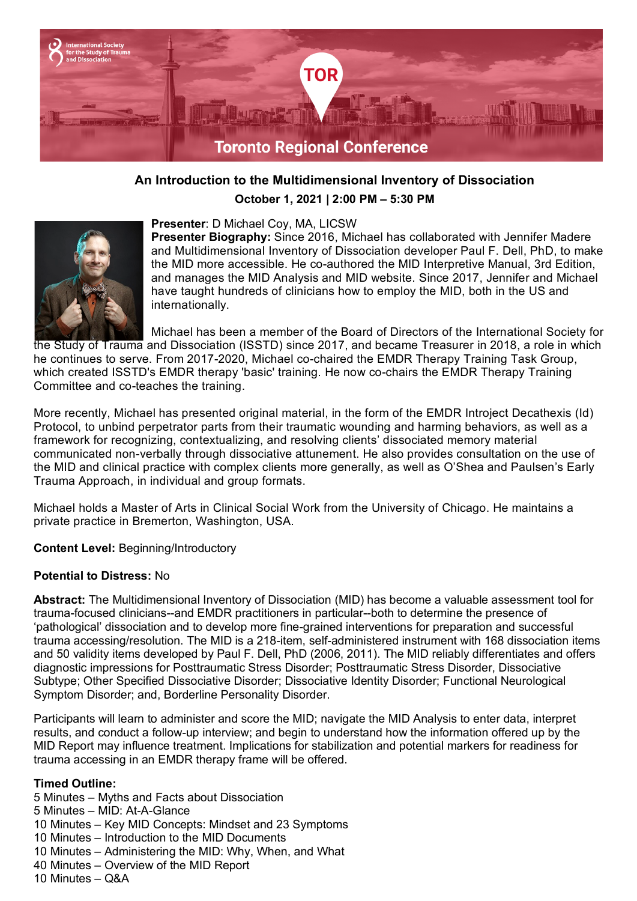

# **An Introduction to the Multidimensional Inventory of Dissociation**

**October 1, 2021 | 2:00 PM – 5:30 PM**



#### **Presenter**: D Michael Coy, MA, LICSW

**Presenter Biography:** Since 2016, Michael has collaborated with Jennifer Madere and Multidimensional Inventory of Dissociation developer Paul F. Dell, PhD, to make the MID more accessible. He co-authored the MID Interpretive Manual, 3rd Edition, and manages the MID Analysis and MID website. Since 2017, Jennifer and Michael have taught hundreds of clinicians how to employ the MID, both in the US and internationally.

Michael has been a member of the Board of Directors of the International Society for the Study of Trauma and Dissociation (ISSTD) since 2017, and became Treasurer in 2018, a role in which he continues to serve. From 2017-2020, Michael co-chaired the EMDR Therapy Training Task Group, which created ISSTD's EMDR therapy 'basic' training. He now co-chairs the EMDR Therapy Training Committee and co-teaches the training.

More recently, Michael has presented original material, in the form of the EMDR Introject Decathexis (Id) Protocol, to unbind perpetrator parts from their traumatic wounding and harming behaviors, as well as a framework for recognizing, contextualizing, and resolving clients' dissociated memory material communicated non-verbally through dissociative attunement. He also provides consultation on the use of the MID and clinical practice with complex clients more generally, as well as O'Shea and Paulsen's Early Trauma Approach, in individual and group formats.

Michael holds a Master of Arts in Clinical Social Work from the University of Chicago. He maintains a private practice in Bremerton, Washington, USA.

**Content Level:** Beginning/Introductory

#### **Potential to Distress:** No

**Abstract:** The Multidimensional Inventory of Dissociation (MID) has become a valuable assessment tool for trauma-focused clinicians--and EMDR practitioners in particular--both to determine the presence of 'pathological' dissociation and to develop more fine-grained interventions for preparation and successful trauma accessing/resolution. The MID is a 218-item, self-administered instrument with 168 dissociation items and 50 validity items developed by Paul F. Dell, PhD (2006, 2011). The MID reliably differentiates and offers diagnostic impressions for Posttraumatic Stress Disorder; Posttraumatic Stress Disorder, Dissociative Subtype; Other Specified Dissociative Disorder; Dissociative Identity Disorder; Functional Neurological Symptom Disorder; and, Borderline Personality Disorder.

Participants will learn to administer and score the MID; navigate the MID Analysis to enter data, interpret results, and conduct a follow-up interview; and begin to understand how the information offered up by the MID Report may influence treatment. Implications for stabilization and potential markers for readiness for trauma accessing in an EMDR therapy frame will be offered.

#### **Timed Outline:**

5 Minutes – Myths and Facts about Dissociation

- 5 Minutes MID: At-A-Glance
- 10 Minutes Key MID Concepts: Mindset and 23 Symptoms
- 10 Minutes Introduction to the MID Documents
- 10 Minutes Administering the MID: Why, When, and What
- 40 Minutes Overview of the MID Report
- 10 Minutes Q&A